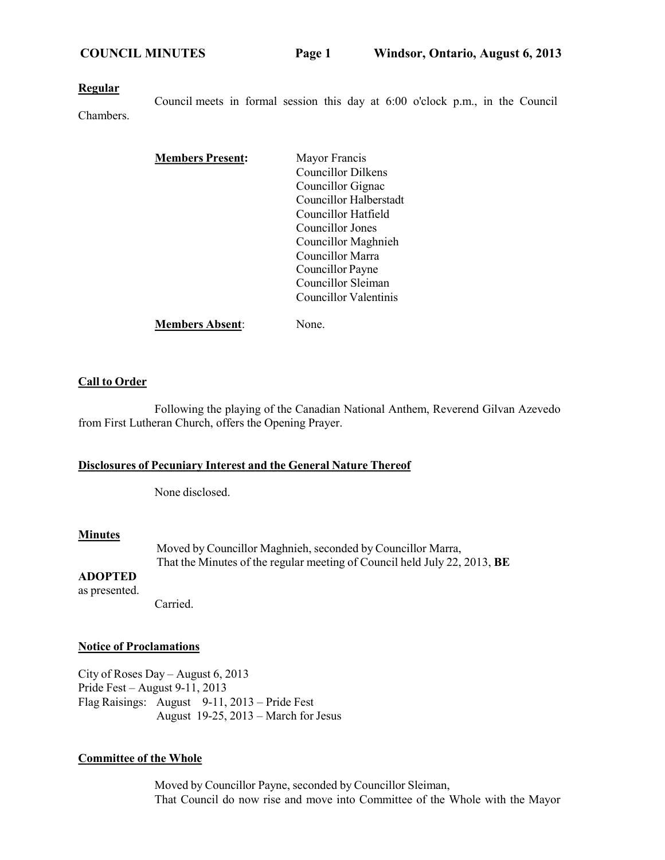#### **Regular**

Chambers. Council meets in formal session this day at 6:00 o'clock p.m., in the Council

| <b>Members Present:</b> | Mayor Francis             |
|-------------------------|---------------------------|
|                         | <b>Councillor Dilkens</b> |
|                         | Councillor Gignac         |
|                         | Councillor Halberstadt    |
|                         | Councillor Hatfield       |
|                         | Councillor Jones          |
|                         | Councillor Maghnieh       |
|                         | Councillor Marra          |
|                         | Councillor Payne          |
|                         | Councillor Sleiman        |
|                         | Councillor Valentinis     |
| <b>Members Absent:</b>  | None.                     |

### **Call to Order**

Following the playing of the Canadian National Anthem, Reverend Gilvan Azevedo from First Lutheran Church, offers the Opening Prayer.

## **Disclosures of Pecuniary Interest and the General Nature Thereof**

None disclosed.

## **Minutes**

Moved by Councillor Maghnieh, seconded by Councillor Marra, That the Minutes of the regular meeting of Council held July 22, 2013, **BE**

## **ADOPTED**

as presented.

Carried.

#### **Notice of Proclamations**

City of Roses Day – August 6, 2013 Pride Fest – August 9-11, 2013 Flag Raisings: August 9-11, 2013 – Pride Fest August 19-25, 2013 – March for Jesus

## **Committee of the Whole**

Moved by Councillor Payne, seconded by Councillor Sleiman, That Council do now rise and move into Committee of the Whole with the Mayor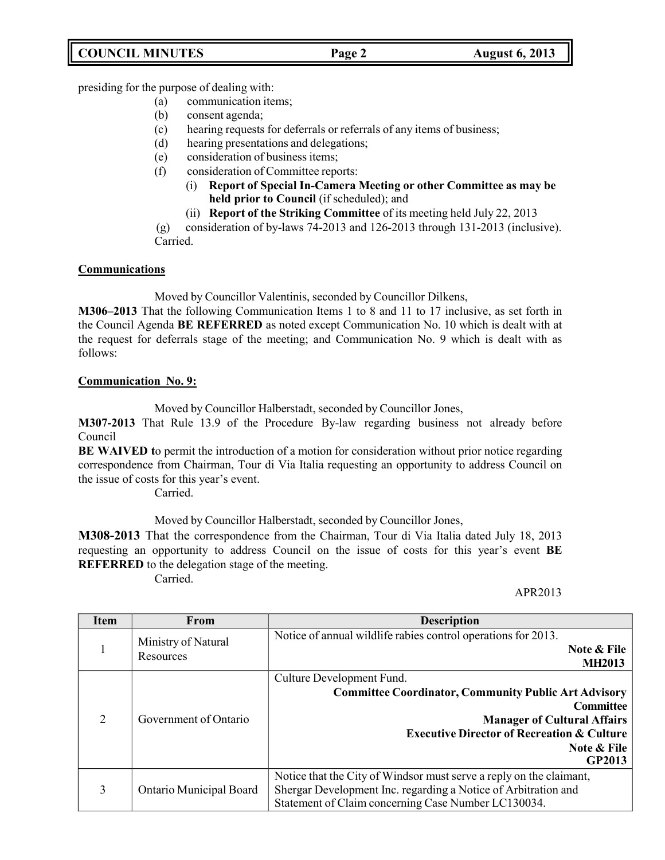presiding for the purpose of dealing with:

- (a) communication items;
- (b) consent agenda;
- (c) hearing requests for deferrals or referrals of any items of business;
- (d) hearing presentations and delegations;
- (e) consideration of business items;
- (f) consideration of Committee reports:
	- (i) **Report of Special In-Camera Meeting or other Committee as may be held prior to Council** (if scheduled); and
	- (ii) **Report of the Striking Committee** of its meeting held July 22, 2013

(g) consideration of by-laws 74-2013 and 126-2013 through 131-2013 (inclusive). Carried.

## **Communications**

Moved by Councillor Valentinis, seconded by Councillor Dilkens,

**M306–2013** That the following Communication Items 1 to 8 and 11 to 17 inclusive, as set forth in the Council Agenda **BE REFERRED** as noted except Communication No. 10 which is dealt with at the request for deferrals stage of the meeting; and Communication No. 9 which is dealt with as follows:

## **Communication No. 9:**

Moved by Councillor Halberstadt, seconded by Councillor Jones,

**M307-2013** That Rule 13.9 of the Procedure By-law regarding business not already before Council

**BE WAIVED t**o permit the introduction of a motion for consideration without prior notice regarding correspondence from Chairman, Tour di Via Italia requesting an opportunity to address Council on the issue of costs for this year's event.

Carried.

Moved by Councillor Halberstadt, seconded by Councillor Jones,

**M308-2013** That the correspondence from the Chairman, Tour di Via Italia dated July 18, 2013 requesting an opportunity to address Council on the issue of costs for this year's event **BE REFERRED** to the delegation stage of the meeting.

Carried.

## APR2013

| <b>Item</b>    | <b>From</b>                      | <b>Description</b>                                                                                                                                                                                                                   |
|----------------|----------------------------------|--------------------------------------------------------------------------------------------------------------------------------------------------------------------------------------------------------------------------------------|
| 1              | Ministry of Natural<br>Resources | Notice of annual wildlife rabies control operations for 2013.<br>Note & File<br><b>MH2013</b>                                                                                                                                        |
| $\overline{2}$ | Government of Ontario            | Culture Development Fund.<br><b>Committee Coordinator, Community Public Art Advisory</b><br><b>Committee</b><br><b>Manager of Cultural Affairs</b><br><b>Executive Director of Recreation &amp; Culture</b><br>Note & File<br>GP2013 |
| 3              | Ontario Municipal Board          | Notice that the City of Windsor must serve a reply on the claimant,<br>Shergar Development Inc. regarding a Notice of Arbitration and<br>Statement of Claim concerning Case Number LC130034.                                         |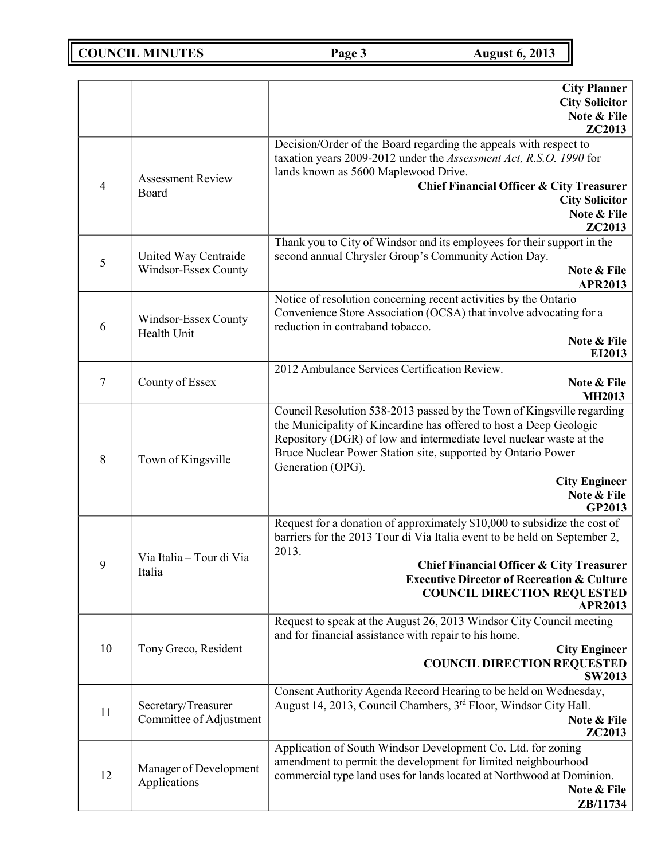**COUNCIL MINUTES Page 3 August 6, 2013** 

|                |                                                | <b>City Planner</b><br><b>City Solicitor</b><br>Note & File                                                                                                                                                                                                                                                                                               |
|----------------|------------------------------------------------|-----------------------------------------------------------------------------------------------------------------------------------------------------------------------------------------------------------------------------------------------------------------------------------------------------------------------------------------------------------|
|                |                                                | ZC2013                                                                                                                                                                                                                                                                                                                                                    |
| $\overline{4}$ | <b>Assessment Review</b><br>Board              | Decision/Order of the Board regarding the appeals with respect to<br>taxation years 2009-2012 under the Assessment Act, R.S.O. 1990 for<br>lands known as 5600 Maplewood Drive.<br><b>Chief Financial Officer &amp; City Treasurer</b><br><b>City Solicitor</b><br>Note & File<br>ZC2013                                                                  |
| 5              | United Way Centraide<br>Windsor-Essex County   | Thank you to City of Windsor and its employees for their support in the<br>second annual Chrysler Group's Community Action Day.<br>Note & File<br><b>APR2013</b>                                                                                                                                                                                          |
| 6              | Windsor-Essex County<br>Health Unit            | Notice of resolution concerning recent activities by the Ontario<br>Convenience Store Association (OCSA) that involve advocating for a<br>reduction in contraband tobacco.<br>Note & File<br>EI2013                                                                                                                                                       |
| 7              | County of Essex                                | 2012 Ambulance Services Certification Review.<br>Note & File<br><b>MH2013</b>                                                                                                                                                                                                                                                                             |
| 8              | Town of Kingsville                             | Council Resolution 538-2013 passed by the Town of Kingsville regarding<br>the Municipality of Kincardine has offered to host a Deep Geologic<br>Repository (DGR) of low and intermediate level nuclear waste at the<br>Bruce Nuclear Power Station site, supported by Ontario Power<br>Generation (OPG).<br><b>City Engineer</b><br>Note & File<br>GP2013 |
| 9              | Via Italia - Tour di Via<br>Italia             | Request for a donation of approximately \$10,000 to subsidize the cost of<br>barriers for the 2013 Tour di Via Italia event to be held on September 2,<br>2013.<br><b>Chief Financial Officer &amp; City Treasurer</b><br><b>Executive Director of Recreation &amp; Culture</b><br><b>COUNCIL DIRECTION REQUESTED</b><br><b>APR2013</b>                   |
| 10             | Tony Greco, Resident                           | Request to speak at the August 26, 2013 Windsor City Council meeting<br>and for financial assistance with repair to his home.<br><b>City Engineer</b><br><b>COUNCIL DIRECTION REQUESTED</b><br><b>SW2013</b>                                                                                                                                              |
| 11             | Secretary/Treasurer<br>Committee of Adjustment | Consent Authority Agenda Record Hearing to be held on Wednesday,<br>August 14, 2013, Council Chambers, 3 <sup>rd</sup> Floor, Windsor City Hall.<br>Note & File<br>ZC2013                                                                                                                                                                                 |
| 12             | Manager of Development<br>Applications         | Application of South Windsor Development Co. Ltd. for zoning<br>amendment to permit the development for limited neighbourhood<br>commercial type land uses for lands located at Northwood at Dominion.<br>Note & File<br><b>ZB</b> /11734                                                                                                                 |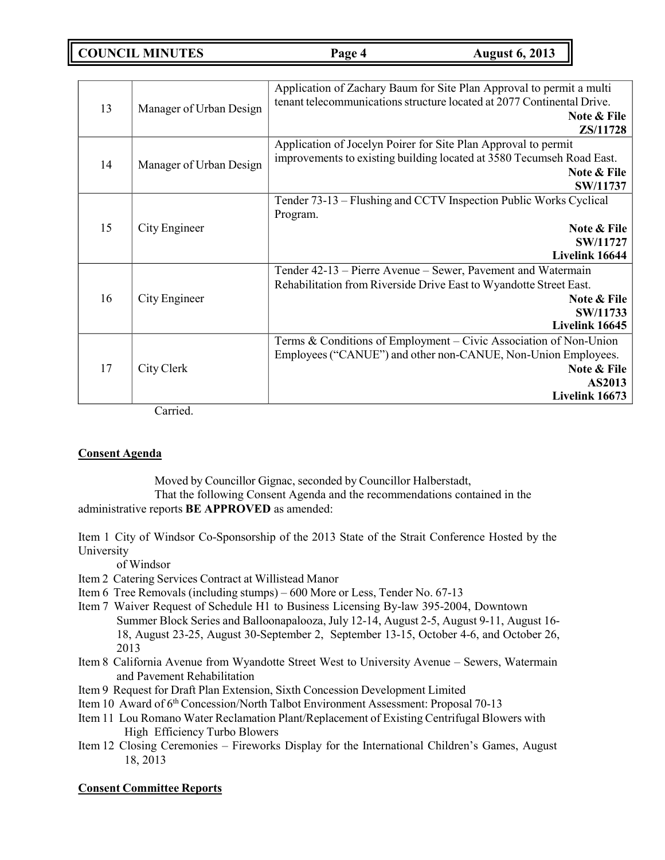**COUNCIL MINUTES Page 4 August 6, 2013**

|                     |                               | Application of Zachary Baum for Site Plan Approval to permit a multi<br>tenant telecommunications structure located at 2077 Continental Drive. |
|---------------------|-------------------------------|------------------------------------------------------------------------------------------------------------------------------------------------|
|                     | 13<br>Manager of Urban Design | Note & File                                                                                                                                    |
|                     |                               | ZS/11728                                                                                                                                       |
|                     |                               | Application of Jocelyn Poirer for Site Plan Approval to permit                                                                                 |
| 14                  | Manager of Urban Design       | improvements to existing building located at 3580 Tecumseh Road East.                                                                          |
|                     |                               | Note & File                                                                                                                                    |
|                     |                               | SW/11737                                                                                                                                       |
|                     |                               | Tender 73-13 – Flushing and CCTV Inspection Public Works Cyclical                                                                              |
|                     |                               | Program.                                                                                                                                       |
| 15<br>City Engineer | Note & File                   |                                                                                                                                                |
|                     | SW/11727                      |                                                                                                                                                |
|                     |                               | Livelink 16644                                                                                                                                 |
|                     |                               | Tender 42-13 – Pierre Avenue – Sewer, Pavement and Watermain                                                                                   |
|                     |                               | Rehabilitation from Riverside Drive East to Wyandotte Street East.                                                                             |
| 16                  | City Engineer                 | Note & File                                                                                                                                    |
|                     | SW/11733                      |                                                                                                                                                |
|                     |                               | Livelink 16645                                                                                                                                 |
|                     |                               | Terms & Conditions of Employment - Civic Association of Non-Union                                                                              |
|                     |                               | Employees ("CANUE") and other non-CANUE, Non-Union Employees.                                                                                  |
| 17                  | City Clerk                    | Note & File                                                                                                                                    |
|                     |                               | AS2013                                                                                                                                         |
|                     |                               | Livelink 16673                                                                                                                                 |

Carried.

## **Consent Agenda**

Moved by Councillor Gignac, seconded by Councillor Halberstadt, That the following Consent Agenda and the recommendations contained in the administrative reports **BE APPROVED** as amended:

Item 1 City of Windsor Co-Sponsorship of the 2013 State of the Strait Conference Hosted by the University

of Windsor

- Item 2 Catering Services Contract at Willistead Manor
- Item 6 Tree Removals (including stumps) 600 More or Less, Tender No. 67-13
- Item 7 Waiver Request of Schedule H1 to Business Licensing By-law 395-2004, Downtown Summer Block Series and Balloonapalooza, July 12-14, August 2-5, August 9-11, August 16- 18, August 23-25, August 30-September 2, September 13-15, October 4-6, and October 26, 2013
- Item 8 California Avenue from Wyandotte Street West to University Avenue Sewers, Watermain and Pavement Rehabilitation
- Item 9 Request for Draft Plan Extension, Sixth Concession Development Limited
- Item 10 Award of 6<sup>th</sup> Concession/North Talbot Environment Assessment: Proposal 70-13
- Item 11 Lou Romano Water Reclamation Plant/Replacement of Existing Centrifugal Blowers with High Efficiency Turbo Blowers
- Item 12 Closing Ceremonies Fireworks Display for the International Children's Games, August 18, 2013

## **Consent Committee Reports**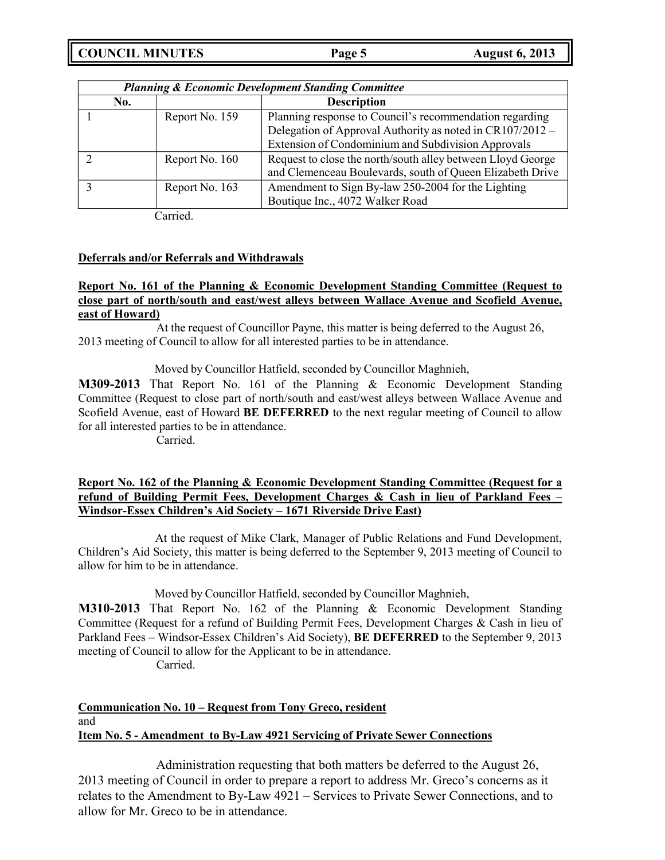**COUNCIL MINUTES Page 5 August 6, 2013**

| <b>Planning &amp; Economic Development Standing Committee</b> |                |                                                             |
|---------------------------------------------------------------|----------------|-------------------------------------------------------------|
| No.                                                           |                | <b>Description</b>                                          |
|                                                               | Report No. 159 | Planning response to Council's recommendation regarding     |
|                                                               |                | Delegation of Approval Authority as noted in CR107/2012 -   |
|                                                               |                | Extension of Condominium and Subdivision Approvals          |
|                                                               | Report No. 160 | Request to close the north/south alley between Lloyd George |
|                                                               |                | and Clemenceau Boulevards, south of Queen Elizabeth Drive   |
|                                                               | Report No. 163 | Amendment to Sign By-law 250-2004 for the Lighting          |
|                                                               |                | Boutique Inc., 4072 Walker Road                             |

Carried.

## **Deferrals and/or Referrals and Withdrawals**

## **Report No. 161 of the Planning & Economic Development Standing Committee (Request to close part of north/south and east/west alleys between Wallace Avenue and Scofield Avenue, east of Howard)**

At the request of Councillor Payne, this matter is being deferred to the August 26, 2013 meeting of Council to allow for all interested parties to be in attendance.

Moved by Councillor Hatfield, seconded by Councillor Maghnieh,

**M309-2013** That Report No. 161 of the Planning & Economic Development Standing Committee (Request to close part of north/south and east/west alleys between Wallace Avenue and Scofield Avenue, east of Howard **BE DEFERRED** to the next regular meeting of Council to allow for all interested parties to be in attendance.

Carried.

## **Report No. 162 of the Planning & Economic Development Standing Committee (Request for a refund of Building Permit Fees, Development Charges & Cash in lieu of Parkland Fees – Windsor-Essex Children's Aid Society – 1671 Riverside Drive East)**

At the request of Mike Clark, Manager of Public Relations and Fund Development, Children's Aid Society, this matter is being deferred to the September 9, 2013 meeting of Council to allow for him to be in attendance.

Moved by Councillor Hatfield, seconded by Councillor Maghnieh,

**M310-2013** That Report No. 162 of the Planning & Economic Development Standing Committee (Request for a refund of Building Permit Fees, Development Charges & Cash in lieu of Parkland Fees – Windsor-Essex Children's Aid Society), **BE DEFERRED** to the September 9, 2013 meeting of Council to allow for the Applicant to be in attendance.

Carried.

# **Communication No. 10 – Request from Tony Greco, resident** and **Item No. 5 - Amendment to By-Law 4921 Servicing of Private Sewer Connections**

Administration requesting that both matters be deferred to the August 26, 2013 meeting of Council in order to prepare a report to address Mr. Greco's concerns as it relates to the Amendment to By-Law 4921 – Services to Private Sewer Connections, and to allow for Mr. Greco to be in attendance.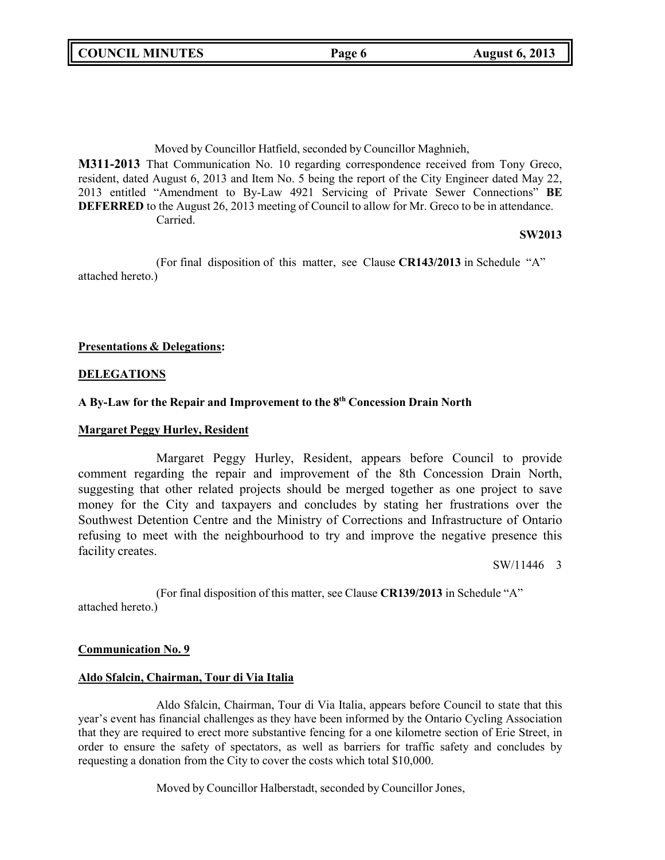Moved by Councillor Hatfield, seconded by Councillor Maghnieh,

**M311-2013** That Communication No. 10 regarding correspondence received from Tony Greco, resident, dated August 6, 2013 and Item No. 5 being the report of the City Engineer dated May 22, 2013 entitled "Amendment to By-Law 4921 Servicing of Private Sewer Connections" **BE DEFERRED** to the August 26, 2013 meeting of Council to allow for Mr. Greco to be in attendance. Carried.

### **SW2013**

(For final disposition of this matter, see Clause **CR143/2013** in Schedule "A" attached hereto.)

## **Presentations & Delegations:**

### **DELEGATIONS**

## **A By-Law for the Repair and Improvement to the 8 th Concession Drain North**

#### **Margaret Peggy Hurley, Resident**

Margaret Peggy Hurley, Resident, appears before Council to provide comment regarding the repair and improvement of the 8th Concession Drain North, suggesting that other related projects should be merged together as one project to save money for the City and taxpayers and concludes by stating her frustrations over the Southwest Detention Centre and the Ministry of Corrections and Infrastructure of Ontario refusing to meet with the neighbourhood to try and improve the negative presence this facility creates.

SW/11446 3

(For final disposition of this matter, see Clause **CR139/2013** in Schedule "A" attached hereto.)

#### **Communication No. 9**

## **Aldo Sfalcin, Chairman, Tour di Via Italia**

Aldo Sfalcin, Chairman, Tour di Via Italia, appears before Council to state that this year's event has financial challenges as they have been informed by the Ontario Cycling Association that they are required to erect more substantive fencing for a one kilometre section of Erie Street, in order to ensure the safety of spectators, as well as barriers for traffic safety and concludes by requesting a donation from the City to cover the costs which total \$10,000.

Moved by Councillor Halberstadt, seconded by Councillor Jones,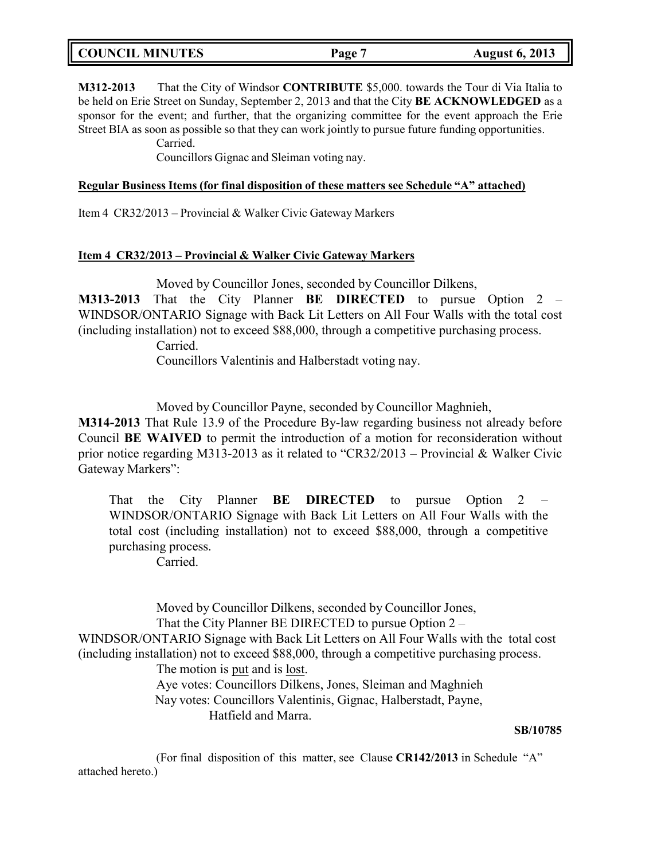| <b>COUNCIL MINUTES</b><br><b>August 6, 2013</b><br>Page 7 |
|-----------------------------------------------------------|
|-----------------------------------------------------------|

**M312-2013** That the City of Windsor **CONTRIBUTE** \$5,000. towards the Tour di Via Italia to be held on Erie Street on Sunday, September 2, 2013 and that the City **BE ACKNOWLEDGED** as a sponsor for the event; and further, that the organizing committee for the event approach the Erie Street BIA as soon as possible so that they can work jointly to pursue future funding opportunities.

Carried.

Councillors Gignac and Sleiman voting nay.

### **Regular Business Items (for final disposition of these matters see Schedule "A" attached)**

Item 4 CR32/2013 – Provincial & Walker Civic Gateway Markers

### **Item 4 CR32/2013 – Provincial & Walker Civic Gateway Markers**

Moved by Councillor Jones, seconded by Councillor Dilkens,

**M313-2013** That the City Planner **BE DIRECTED** to pursue Option 2 – WINDSOR/ONTARIO Signage with Back Lit Letters on All Four Walls with the total cost (including installation) not to exceed \$88,000, through a competitive purchasing process.

Carried.

Councillors Valentinis and Halberstadt voting nay.

Moved by Councillor Payne, seconded by Councillor Maghnieh,

**M314-2013** That Rule 13.9 of the Procedure By-law regarding business not already before Council **BE WAIVED** to permit the introduction of a motion for reconsideration without prior notice regarding M313-2013 as it related to "CR32/2013 – Provincial & Walker Civic Gateway Markers":

That the City Planner **BE DIRECTED** to pursue Option 2 – WINDSOR/ONTARIO Signage with Back Lit Letters on All Four Walls with the total cost (including installation) not to exceed \$88,000, through a competitive purchasing process.

Carried.

Moved by Councillor Dilkens, seconded by Councillor Jones, That the City Planner BE DIRECTED to pursue Option 2 – WINDSOR/ONTARIO Signage with Back Lit Letters on All Four Walls with the total cost (including installation) not to exceed \$88,000, through a competitive purchasing process. The motion is put and is lost. Aye votes: Councillors Dilkens, Jones, Sleiman and Maghnieh Nay votes: Councillors Valentinis, Gignac, Halberstadt, Payne, Hatfield and Marra.

## **SB/10785**

(For final disposition of this matter, see Clause **CR142/2013** in Schedule "A" attached hereto.)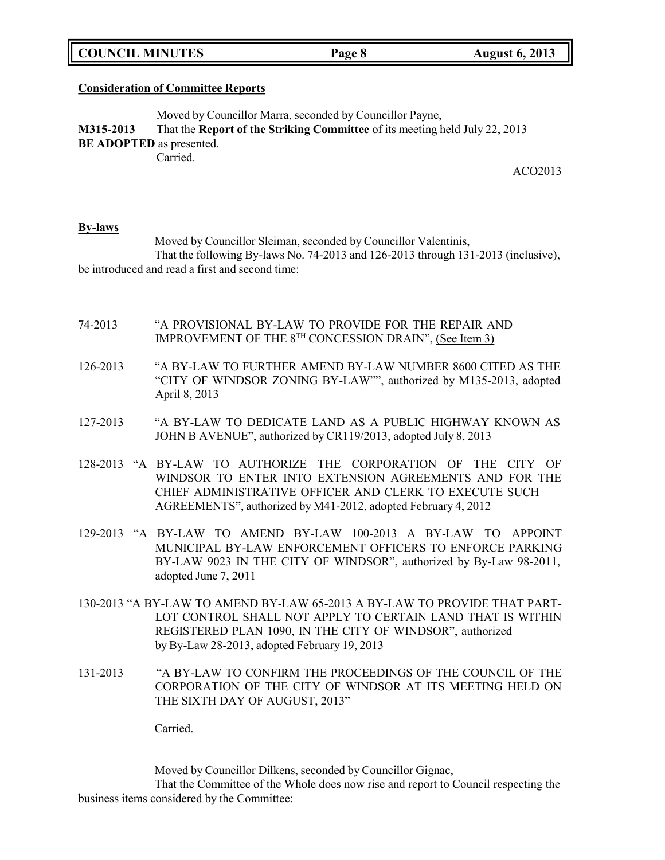**COUNCIL MINUTES Page 8 August 6, 2013**

#### **Consideration of Committee Reports**

Moved by Councillor Marra, seconded by Councillor Payne, **M315-2013** That the **Report of the Striking Committee** of its meeting held July 22, 2013 **BE ADOPTED** as presented. Carried.

ACO2013

#### **By-laws**

Moved by Councillor Sleiman, seconded by Councillor Valentinis, That the following By-laws No. 74-2013 and 126-2013 through 131-2013 (inclusive), be introduced and read a first and second time:

- 74-2013 "A PROVISIONAL BY-LAW TO PROVIDE FOR THE REPAIR AND IMPROVEMENT OF THE 8<sup>TH</sup> CONCESSION DRAIN", <u>(See Item 3)</u>
- 126-2013 "A BY-LAW TO FURTHER AMEND BY-LAW NUMBER 8600 CITED AS THE "CITY OF WINDSOR ZONING BY-LAW"", authorized by M135-2013, adopted April 8, 2013
- 127-2013 "A BY-LAW TO DEDICATE LAND AS A PUBLIC HIGHWAY KNOWN AS JOHN B AVENUE", authorized by CR119/2013, adopted July 8, 2013
- 128-2013 "A BY-LAW TO AUTHORIZE THE CORPORATION OF THE CITY OF WINDSOR TO ENTER INTO EXTENSION AGREEMENTS AND FOR THE CHIEF ADMINISTRATIVE OFFICER AND CLERK TO EXECUTE SUCH AGREEMENTS", authorized by M41-2012, adopted February 4, 2012
- 129-2013 "A BY-LAW TO AMEND BY-LAW 100-2013 A BY-LAW TO APPOINT MUNICIPAL BY-LAW ENFORCEMENT OFFICERS TO ENFORCE PARKING BY-LAW 9023 IN THE CITY OF WINDSOR", authorized by By-Law 98-2011, adopted June 7, 2011
- 130-2013 "A BY-LAW TO AMEND BY-LAW 65-2013 A BY-LAW TO PROVIDE THAT PART-LOT CONTROL SHALL NOT APPLY TO CERTAIN LAND THAT IS WITHIN REGISTERED PLAN 1090, IN THE CITY OF WINDSOR", authorized by By-Law 28-2013, adopted February 19, 2013
- 131-2013 "A BY-LAW TO CONFIRM THE PROCEEDINGS OF THE COUNCIL OF THE CORPORATION OF THE CITY OF WINDSOR AT ITS MEETING HELD ON THE SIXTH DAY OF AUGUST, 2013"

Carried.

Moved by Councillor Dilkens, seconded by Councillor Gignac,

That the Committee of the Whole does now rise and report to Council respecting the business items considered by the Committee: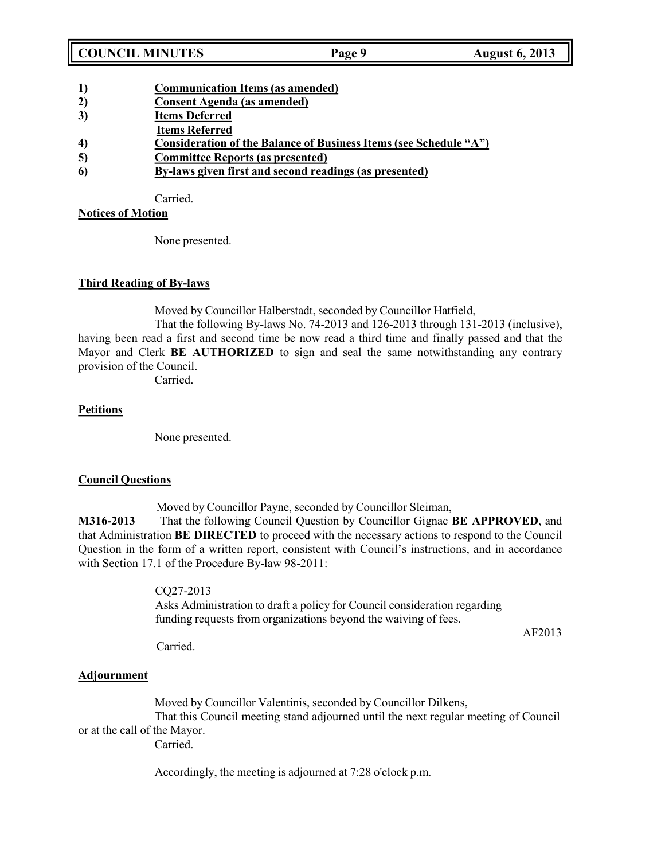- **1) Communication Items (as amended)**
- **2) Consent Agenda (as amended)**
- **3) Items Deferred**
- **Items Referred**
- **4) Consideration of the Balance of Business Items (see Schedule "A")**
- **5) Committee Reports (as presented)**
- **6) By-laws given first and second readings (as presented)**

Carried.

## **Notices of Motion**

None presented.

## **Third Reading of By-laws**

Moved by Councillor Halberstadt, seconded by Councillor Hatfield,

That the following By-laws No. 74-2013 and 126-2013 through 131-2013 (inclusive), having been read a first and second time be now read a third time and finally passed and that the Mayor and Clerk **BE AUTHORIZED** to sign and seal the same notwithstanding any contrary provision of the Council.

Carried.

## **Petitions**

None presented.

## **Council Questions**

Moved by Councillor Payne, seconded by Councillor Sleiman,

**M316-2013** That the following Council Question by Councillor Gignac **BE APPROVED**, and that Administration **BE DIRECTED** to proceed with the necessary actions to respond to the Council Question in the form of a written report, consistent with Council's instructions, and in accordance with Section 17.1 of the Procedure By-law 98-2011:

> CQ27-2013 Asks Administration to draft a policy for Council consideration regarding funding requests from organizations beyond the waiving of fees.

AF2013

Carried.

## **Adjournment**

Moved by Councillor Valentinis, seconded by Councillor Dilkens, That this Council meeting stand adjourned until the next regular meeting of Council or at the call of the Mayor. Carried.

Accordingly, the meeting is adjourned at 7:28 o'clock p.m.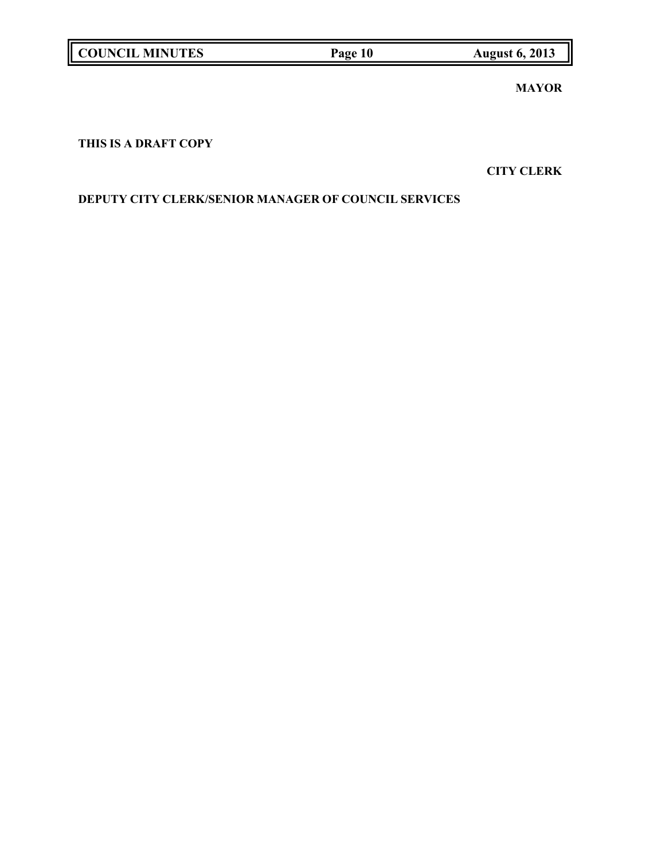| <b>COUNCIL MINUTES</b> | Page 10 | <b>August 6, 2013</b> |
|------------------------|---------|-----------------------|
|                        |         |                       |

**MAYOR**

# **THIS IS A DRAFT COPY**

**CITY CLERK**

# **DEPUTY CITY CLERK/SENIOR MANAGER OF COUNCIL SERVICES**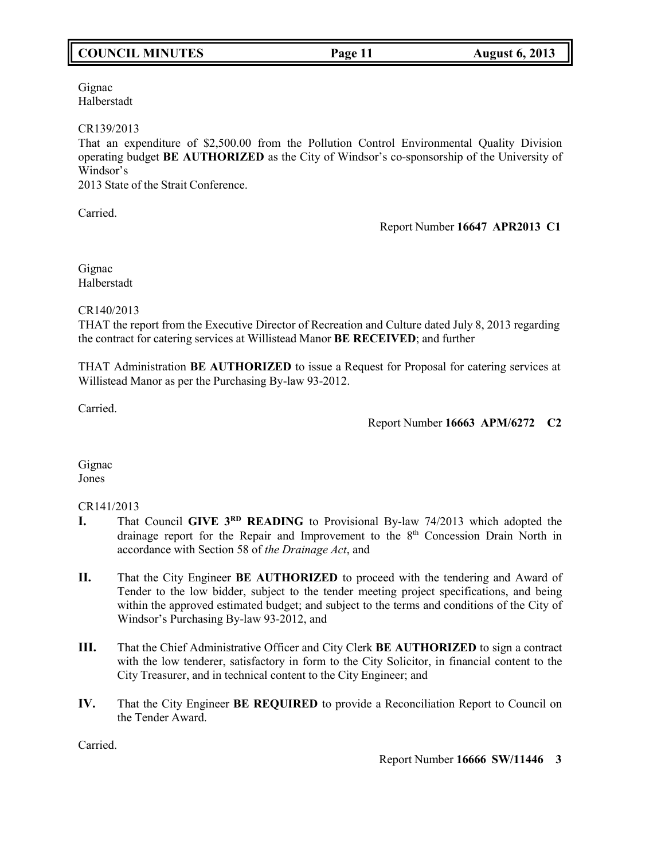# **COUNCIL MINUTES Page 11 August 6, 2013**

Gignac Halberstadt

### CR139/2013

That an expenditure of \$2,500.00 from the Pollution Control Environmental Quality Division operating budget **BE AUTHORIZED** as the City of Windsor's co-sponsorship of the University of Windsor's

2013 State of the Strait Conference.

Carried.

## Report Number **16647 APR2013 C1**

Gignac Halberstadt

CR140/2013

THAT the report from the Executive Director of Recreation and Culture dated July 8, 2013 regarding the contract for catering services at Willistead Manor **BE RECEIVED**; and further

THAT Administration **BE AUTHORIZED** to issue a Request for Proposal for catering services at Willistead Manor as per the Purchasing By-law 93-2012.

Carried.

## Report Number **16663 APM/6272 C2**

Gignac Jones

## CR141/2013

- **I.** That Council **GIVE 3<sup>RD</sup> READING** to Provisional By-law 74/2013 which adopted the drainage report for the Repair and Improvement to the 8<sup>th</sup> Concession Drain North in accordance with Section 58 of *the Drainage Act*, and
- **II.** That the City Engineer **BE AUTHORIZED** to proceed with the tendering and Award of Tender to the low bidder, subject to the tender meeting project specifications, and being within the approved estimated budget; and subject to the terms and conditions of the City of Windsor's Purchasing By-law 93-2012, and
- **III.** That the Chief Administrative Officer and City Clerk **BE AUTHORIZED** to sign a contract with the low tenderer, satisfactory in form to the City Solicitor, in financial content to the City Treasurer, and in technical content to the City Engineer; and
- **IV.** That the City Engineer **BE REQUIRED** to provide a Reconciliation Report to Council on the Tender Award.

Carried.

Report Number **16666 SW/11446 3**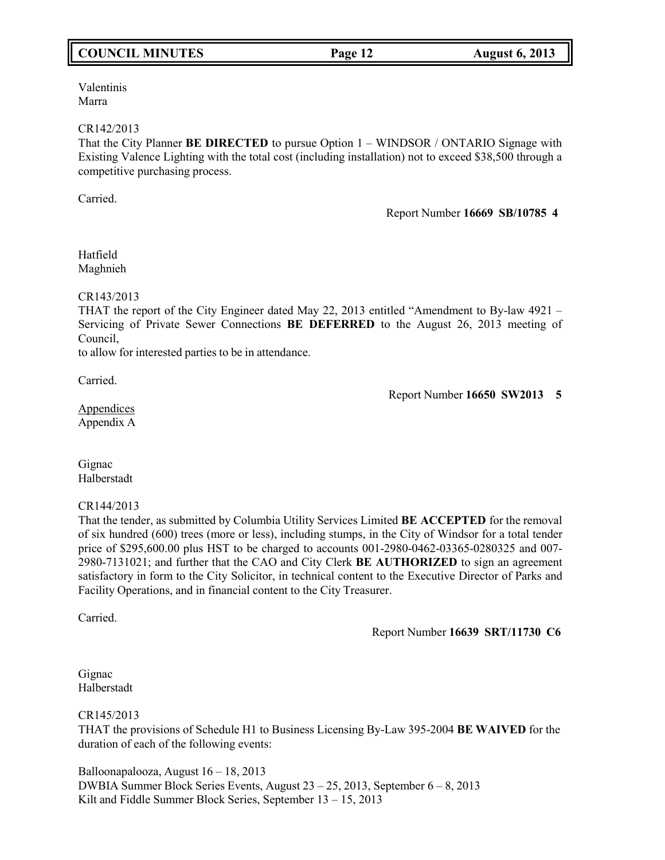# **COUNCIL MINUTES Page 12 August 6, 2013**

Valentinis Marra

#### CR142/2013

That the City Planner **BE DIRECTED** to pursue Option 1 – WINDSOR / ONTARIO Signage with Existing Valence Lighting with the total cost (including installation) not to exceed \$38,500 through a competitive purchasing process.

Carried.

Report Number **16669 SB/10785 4**

Hatfield Maghnieh

CR143/2013

THAT the report of the City Engineer dated May 22, 2013 entitled "Amendment to By-law 4921 – Servicing of Private Sewer Connections **BE DEFERRED** to the August 26, 2013 meeting of Council,

to allow for interested parties to be in attendance.

Carried.

Report Number **16650 SW2013 5**

Appendices Appendix A

Gignac Halberstadt

CR144/2013

That the tender, as submitted by Columbia Utility Services Limited **BE ACCEPTED** for the removal of six hundred (600) trees (more or less), including stumps, in the City of Windsor for a total tender price of \$295,600.00 plus HST to be charged to accounts 001-2980-0462-03365-0280325 and 007- 2980-7131021; and further that the CAO and City Clerk **BE AUTHORIZED** to sign an agreement satisfactory in form to the City Solicitor, in technical content to the Executive Director of Parks and Facility Operations, and in financial content to the City Treasurer.

Carried.

Report Number **16639 SRT/11730 C6**

Gignac Halberstadt

CR145/2013

THAT the provisions of Schedule H1 to Business Licensing By-Law 395-2004 **BE WAIVED** for the duration of each of the following events:

Balloonapalooza, August 16 – 18, 2013 DWBIA Summer Block Series Events, August 23 – 25, 2013, September 6 – 8, 2013 Kilt and Fiddle Summer Block Series, September 13 – 15, 2013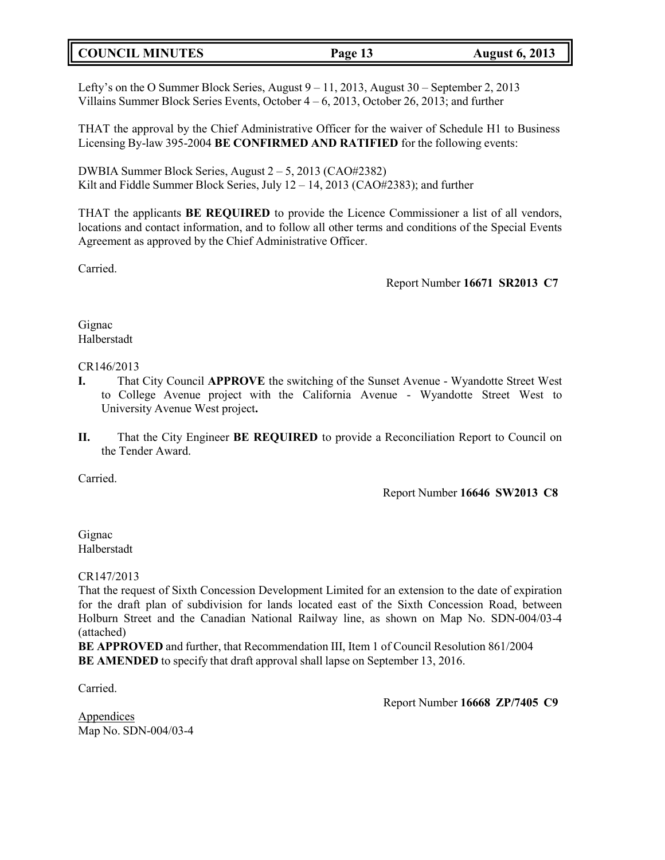# **COUNCIL MINUTES Page 13 August 6, 2013**

Lefty's on the O Summer Block Series, August 9 – 11, 2013, August 30 – September 2, 2013 Villains Summer Block Series Events, October 4 – 6, 2013, October 26, 2013; and further

THAT the approval by the Chief Administrative Officer for the waiver of Schedule H1 to Business Licensing By-law 395-2004 **BE CONFIRMED AND RATIFIED** for the following events:

DWBIA Summer Block Series, August 2 – 5, 2013 (CAO#2382) Kilt and Fiddle Summer Block Series, July 12 – 14, 2013 (CAO#2383); and further

THAT the applicants **BE REQUIRED** to provide the Licence Commissioner a list of all vendors, locations and contact information, and to follow all other terms and conditions of the Special Events Agreement as approved by the Chief Administrative Officer.

Carried.

Report Number **16671 SR2013 C7**

Gignac Halberstadt

CR146/2013

- **I.** That City Council **APPROVE** the switching of the Sunset Avenue Wyandotte Street West to College Avenue project with the California Avenue - Wyandotte Street West to University Avenue West project**.**
- **II.** That the City Engineer **BE REQUIRED** to provide a Reconciliation Report to Council on the Tender Award.

Carried.

Report Number **16646 SW2013 C8**

Gignac Halberstadt

CR147/2013

That the request of Sixth Concession Development Limited for an extension to the date of expiration for the draft plan of subdivision for lands located east of the Sixth Concession Road, between Holburn Street and the Canadian National Railway line, as shown on Map No. SDN-004/03-4 (attached)

**BE APPROVED** and further, that Recommendation III, Item 1 of Council Resolution 861/2004 **BE AMENDED** to specify that draft approval shall lapse on September 13, 2016.

Carried.

Report Number **16668 ZP/7405 C9**

**Appendices** Map No. SDN-004/03-4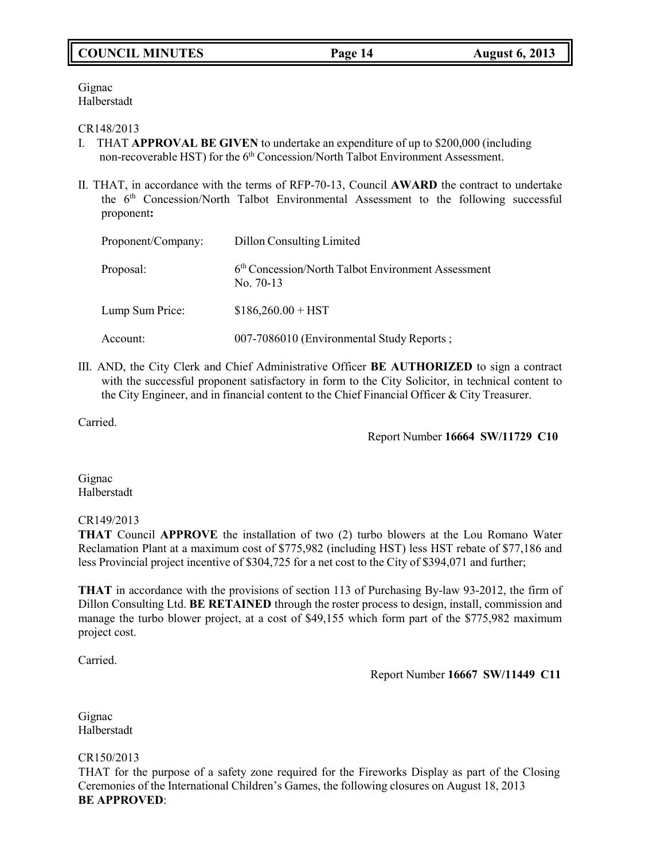# **COUNCIL MINUTES Page 14 August 6, 2013**

Gignac Halberstadt

### CR148/2013

- I. THAT **APPROVAL BE GIVEN** to undertake an expenditure of up to \$200,000 (including non-recoverable HST) for the 6<sup>th</sup> Concession/North Talbot Environment Assessment.
- II. THAT, in accordance with the terms of RFP-70-13, Council **AWARD** the contract to undertake the 6<sup>th</sup> Concession/North Talbot Environmental Assessment to the following successful proponent**:**

| Proponent/Company: | Dillon Consulting Limited                                                     |  |
|--------------------|-------------------------------------------------------------------------------|--|
| Proposal:          | 6 <sup>th</sup> Concession/North Talbot Environment Assessment<br>No. $70-13$ |  |
| Lump Sum Price:    | $$186,260.00 + HST$                                                           |  |
| Account:           | 007-7086010 (Environmental Study Reports;                                     |  |

III. AND, the City Clerk and Chief Administrative Officer **BE AUTHORIZED** to sign a contract with the successful proponent satisfactory in form to the City Solicitor, in technical content to the City Engineer, and in financial content to the Chief Financial Officer & City Treasurer.

Carried.

Report Number **16664 SW/11729 C10**

Gignac Halberstadt

## CR149/2013

**THAT** Council **APPROVE** the installation of two (2) turbo blowers at the Lou Romano Water Reclamation Plant at a maximum cost of \$775,982 (including HST) less HST rebate of \$77,186 and less Provincial project incentive of \$304,725 for a net cost to the City of \$394,071 and further;

**THAT** in accordance with the provisions of section 113 of Purchasing By-law 93-2012, the firm of Dillon Consulting Ltd. **BE RETAINED** through the roster process to design, install, commission and manage the turbo blower project, at a cost of \$49,155 which form part of the \$775,982 maximum project cost.

Carried.

Report Number **16667 SW/11449 C11**

Gignac Halberstadt

CR150/2013

THAT for the purpose of a safety zone required for the Fireworks Display as part of the Closing Ceremonies of the International Children's Games, the following closures on August 18, 2013 **BE APPROVED**: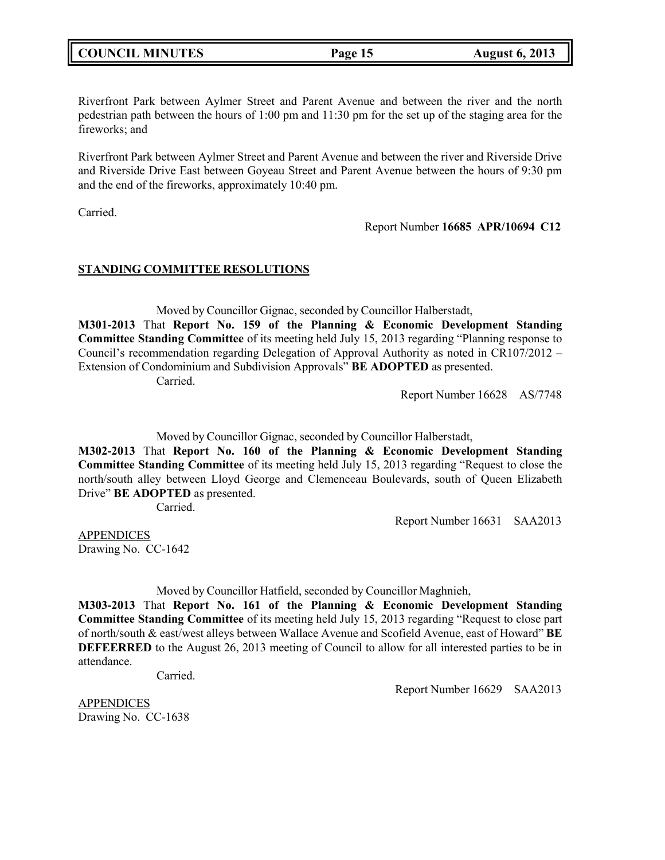| <b>COUNCIL MINUTES</b> |  |
|------------------------|--|
|------------------------|--|

Riverfront Park between Aylmer Street and Parent Avenue and between the river and the north pedestrian path between the hours of 1:00 pm and 11:30 pm for the set up of the staging area for the fireworks; and

Riverfront Park between Aylmer Street and Parent Avenue and between the river and Riverside Drive and Riverside Drive East between Goyeau Street and Parent Avenue between the hours of 9:30 pm and the end of the fireworks, approximately 10:40 pm.

Carried.

Report Number **16685 APR/10694 C12**

## **STANDING COMMITTEE RESOLUTIONS**

Moved by Councillor Gignac, seconded by Councillor Halberstadt, **M301-2013** That **Report No. 159 of the Planning & Economic Development Standing Committee Standing Committee** of its meeting held July 15, 2013 regarding "Planning response to Council's recommendation regarding Delegation of Approval Authority as noted in CR107/2012 – Extension of Condominium and Subdivision Approvals" **BE ADOPTED** as presented. Carried.

Report Number 16628 AS/7748

Moved by Councillor Gignac, seconded by Councillor Halberstadt,

**M302-2013** That **Report No. 160 of the Planning & Economic Development Standing Committee Standing Committee** of its meeting held July 15, 2013 regarding "Request to close the north/south alley between Lloyd George and Clemenceau Boulevards, south of Queen Elizabeth Drive" **BE ADOPTED** as presented.

Carried.

Report Number 16631 SAA2013

APPENDICES Drawing No. CC-1642

Moved by Councillor Hatfield, seconded by Councillor Maghnieh,

**M303-2013** That **Report No. 161 of the Planning & Economic Development Standing Committee Standing Committee** of its meeting held July 15, 2013 regarding "Request to close part of north/south & east/west alleys between Wallace Avenue and Scofield Avenue, east of Howard" **BE DEFEERRED** to the August 26, 2013 meeting of Council to allow for all interested parties to be in attendance.

Carried.

Report Number 16629 SAA2013

APPENDICES Drawing No. CC-1638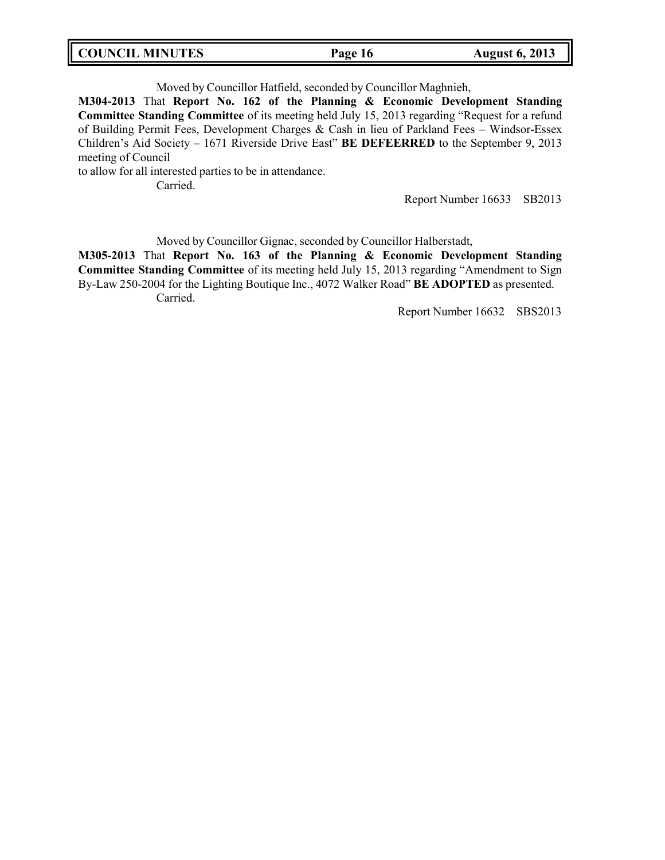|  | <b>COUNCIL MINUTES</b> | Page 16 | <b>August 6, 2013</b> |
|--|------------------------|---------|-----------------------|
|--|------------------------|---------|-----------------------|

Moved by Councillor Hatfield, seconded by Councillor Maghnieh,

**M304-2013** That **Report No. 162 of the Planning & Economic Development Standing Committee Standing Committee** of its meeting held July 15, 2013 regarding "Request for a refund of Building Permit Fees, Development Charges & Cash in lieu of Parkland Fees – Windsor-Essex Children's Aid Society – 1671 Riverside Drive East" **BE DEFEERRED** to the September 9, 2013 meeting of Council

to allow for all interested parties to be in attendance.

Carried.

Report Number 16633 SB2013

Moved by Councillor Gignac, seconded by Councillor Halberstadt,

**M305-2013** That **Report No. 163 of the Planning & Economic Development Standing Committee Standing Committee** of its meeting held July 15, 2013 regarding "Amendment to Sign By-Law 250-2004 for the Lighting Boutique Inc., 4072 Walker Road" **BE ADOPTED** as presented. Carried.

Report Number 16632 SBS2013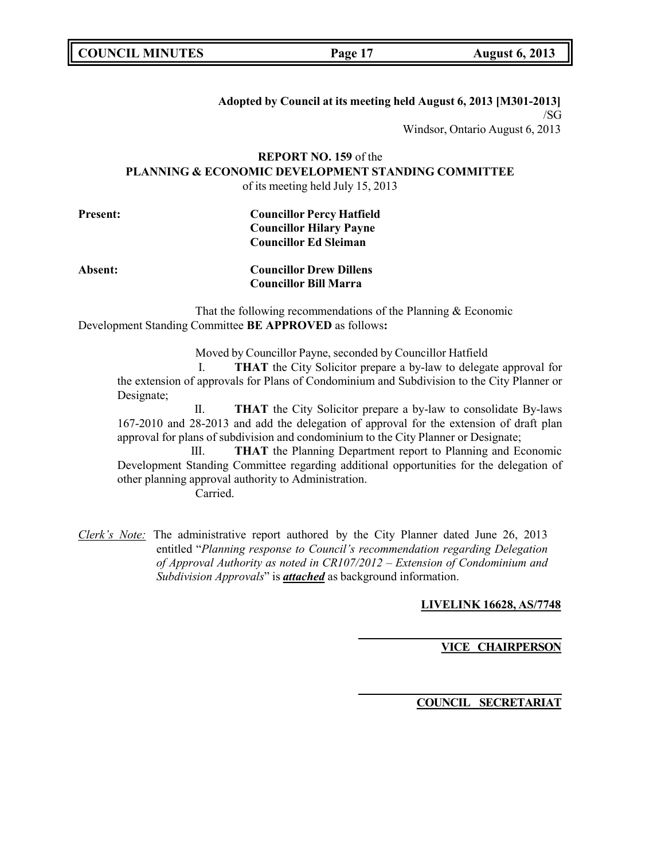|  | <b>COUNCIL MINUTES</b> |
|--|------------------------|
|--|------------------------|

### **Adopted by Council at its meeting held August 6, 2013 [M301-2013]** /SG

Windsor, Ontario August 6, 2013

### **REPORT NO. 159** of the **PLANNING & ECONOMIC DEVELOPMENT STANDING COMMITTEE** of its meeting held July 15, 2013

| <b>Present:</b> | <b>Councillor Percy Hatfield</b> |
|-----------------|----------------------------------|
|                 | <b>Councillor Hilary Payne</b>   |
|                 | <b>Councillor Ed Sleiman</b>     |
|                 |                                  |

## **Absent: Councillor Drew Dillens Councillor Bill Marra**

That the following recommendations of the Planning & Economic Development Standing Committee **BE APPROVED** as follows**:**

Moved by Councillor Payne, seconded by Councillor Hatfield

I. **THAT** the City Solicitor prepare a by-law to delegate approval for the extension of approvals for Plans of Condominium and Subdivision to the City Planner or Designate;

II. **THAT** the City Solicitor prepare a by-law to consolidate By-laws 167-2010 and 28-2013 and add the delegation of approval for the extension of draft plan approval for plans of subdivision and condominium to the City Planner or Designate;

III. **THAT** the Planning Department report to Planning and Economic Development Standing Committee regarding additional opportunities for the delegation of other planning approval authority to Administration. Carried.

*Clerk's Note:* The administrative report authored by the City Planner dated June 26, 2013 entitled "*Planning response to Council's recommendation regarding Delegation of Approval Authority as noted in CR107/2012 – Extension of Condominium and Subdivision Approvals*" is *attached* as background information.

## **LIVELINK 16628, AS/7748**

## **VICE CHAIRPERSON**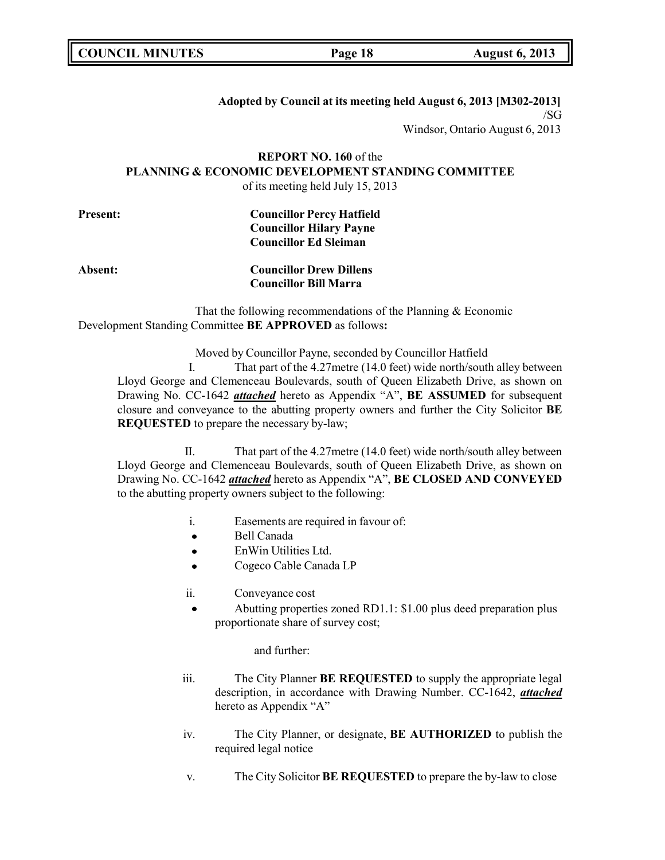## **Adopted by Council at its meeting held August 6, 2013 [M302-2013]** /SG

Windsor, Ontario August 6, 2013

## **REPORT NO. 160** of the **PLANNING & ECONOMIC DEVELOPMENT STANDING COMMITTEE** of its meeting held July 15, 2013

| <b>Present:</b> | <b>Councillor Percy Hatfield</b> |  |
|-----------------|----------------------------------|--|
|                 | <b>Councillor Hilary Payne</b>   |  |
|                 | <b>Councillor Ed Sleiman</b>     |  |
|                 |                                  |  |

## **Absent: Councillor Drew Dillens Councillor Bill Marra**

That the following recommendations of the Planning & Economic Development Standing Committee **BE APPROVED** as follows**:**

Moved by Councillor Payne, seconded by Councillor Hatfield

I. That part of the 4.27metre (14.0 feet) wide north/south alley between Lloyd George and Clemenceau Boulevards, south of Queen Elizabeth Drive, as shown on Drawing No. CC-1642 *attached* hereto as Appendix "A", **BE ASSUMED** for subsequent closure and conveyance to the abutting property owners and further the City Solicitor **BE REQUESTED** to prepare the necessary by-law;

II. That part of the 4.27metre (14.0 feet) wide north/south alley between Lloyd George and Clemenceau Boulevards, south of Queen Elizabeth Drive, as shown on Drawing No. CC-1642 *attached* hereto as Appendix "A", **BE CLOSED AND CONVEYED** to the abutting property owners subject to the following:

- i. Easements are required in favour of:
- $\bullet$ Bell Canada
- EnWin Utilities Ltd.  $\bullet$
- Cogeco Cable Canada LP  $\blacksquare$
- ii. Conveyance cost
	- Abutting properties zoned RD1.1: \$1.00 plus deed preparation plus proportionate share of survey cost;

#### and further:

- iii. The City Planner **BE REQUESTED** to supply the appropriate legal description, in accordance with Drawing Number. CC-1642, *attached* hereto as Appendix "A"
- iv. The City Planner, or designate, **BE AUTHORIZED** to publish the required legal notice
- v. The City Solicitor **BE REQUESTED** to prepare the by-law to close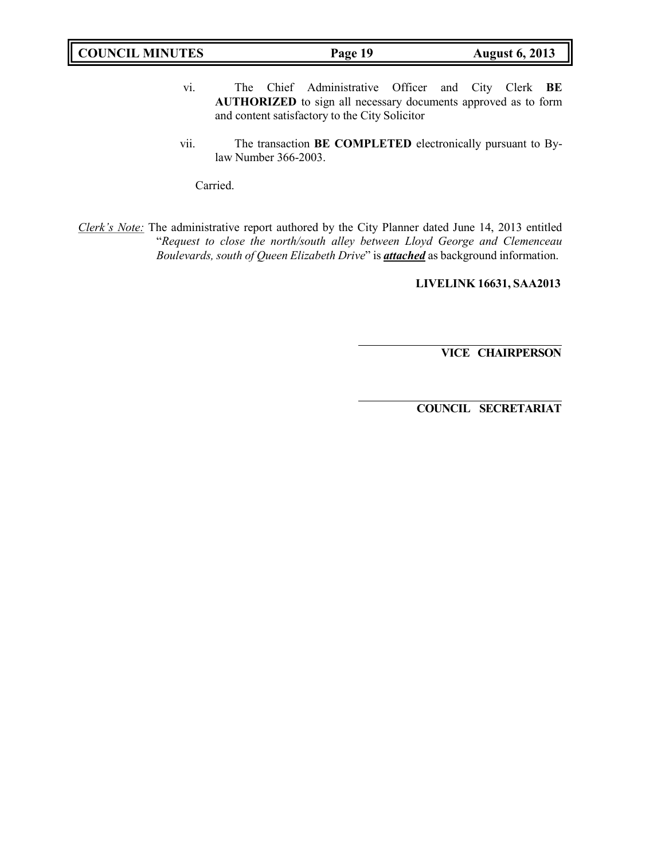| <b>COUNCIL MINUTES</b> | Page 19 | <b>August 6, 2013</b> |
|------------------------|---------|-----------------------|
|                        |         |                       |

- vi. The Chief Administrative Officer and City Clerk **BE AUTHORIZED** to sign all necessary documents approved as to form and content satisfactory to the City Solicitor
- vii. The transaction **BE COMPLETED** electronically pursuant to Bylaw Number 366-2003.

Carried.

*Clerk's Note:* The administrative report authored by the City Planner dated June 14, 2013 entitled "*Request to close the north/south alley between Lloyd George and Clemenceau Boulevards, south of Queen Elizabeth Drive*" is *attached* as background information.

**LIVELINK 16631, SAA2013**

**VICE CHAIRPERSON**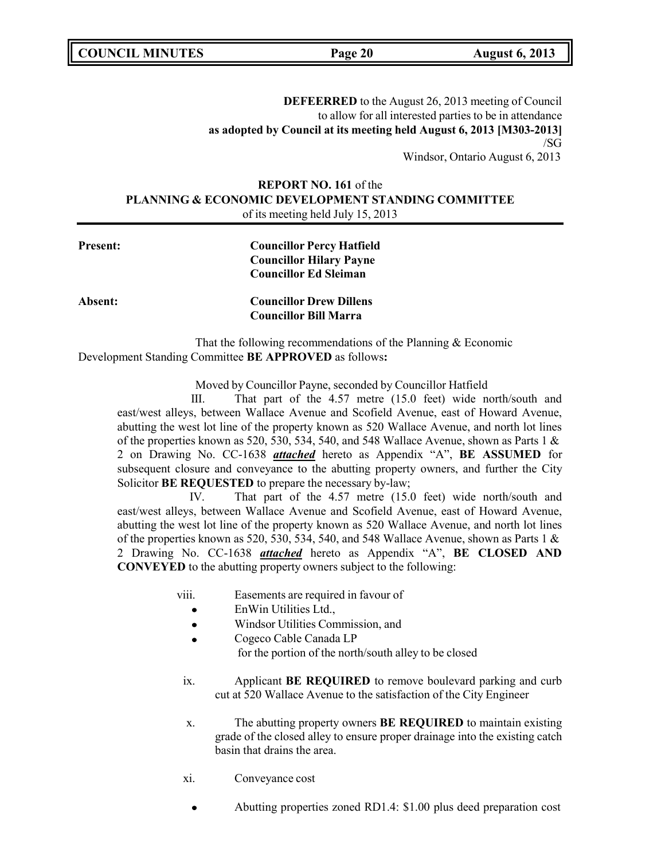**DEFEERRED** to the August 26, 2013 meeting of Council to allow for all interested parties to be in attendance **as adopted by Council at its meeting held August 6, 2013 [M303-2013]** /SG

Windsor, Ontario August 6, 2013

## **REPORT NO. 161** of the **PLANNING & ECONOMIC DEVELOPMENT STANDING COMMITTEE** of its meeting held July 15, 2013

**Present: Councillor Percy Hatfield Councillor Hilary Payne Councillor Ed Sleiman**

**Absent: Councillor Drew Dillens Councillor Bill Marra**

That the following recommendations of the Planning & Economic Development Standing Committee **BE APPROVED** as follows**:**

Moved by Councillor Payne, seconded by Councillor Hatfield

III. That part of the 4.57 metre (15.0 feet) wide north/south and east/west alleys, between Wallace Avenue and Scofield Avenue, east of Howard Avenue, abutting the west lot line of the property known as 520 Wallace Avenue, and north lot lines of the properties known as 520, 530, 534, 540, and 548 Wallace Avenue, shown as Parts 1  $\&$ 2 on Drawing No. CC-1638 *attached* hereto as Appendix "A", **BE ASSUMED** for subsequent closure and conveyance to the abutting property owners, and further the City Solicitor **BE REQUESTED** to prepare the necessary by-law;

IV. That part of the 4.57 metre (15.0 feet) wide north/south and east/west alleys, between Wallace Avenue and Scofield Avenue, east of Howard Avenue, abutting the west lot line of the property known as 520 Wallace Avenue, and north lot lines of the properties known as 520, 530, 534, 540, and 548 Wallace Avenue, shown as Parts 1  $\&$ 2 Drawing No. CC-1638 *attached* hereto as Appendix "A", **BE CLOSED AND CONVEYED** to the abutting property owners subject to the following:

- viii. Easements are required in favour of
	- EnWin Utilities Ltd.,  $\bullet$
	- Windsor Utilities Commission, and  $\bullet$
	- Cogeco Cable Canada LP for the portion of the north/south alley to be closed
- ix. Applicant **BE REQUIRED** to remove boulevard parking and curb cut at 520 Wallace Avenue to the satisfaction of the City Engineer
- x. The abutting property owners **BE REQUIRED** to maintain existing grade of the closed alley to ensure proper drainage into the existing catch basin that drains the area.
- xi. Conveyance cost
	- Abutting properties zoned RD1.4: \$1.00 plus deed preparation cost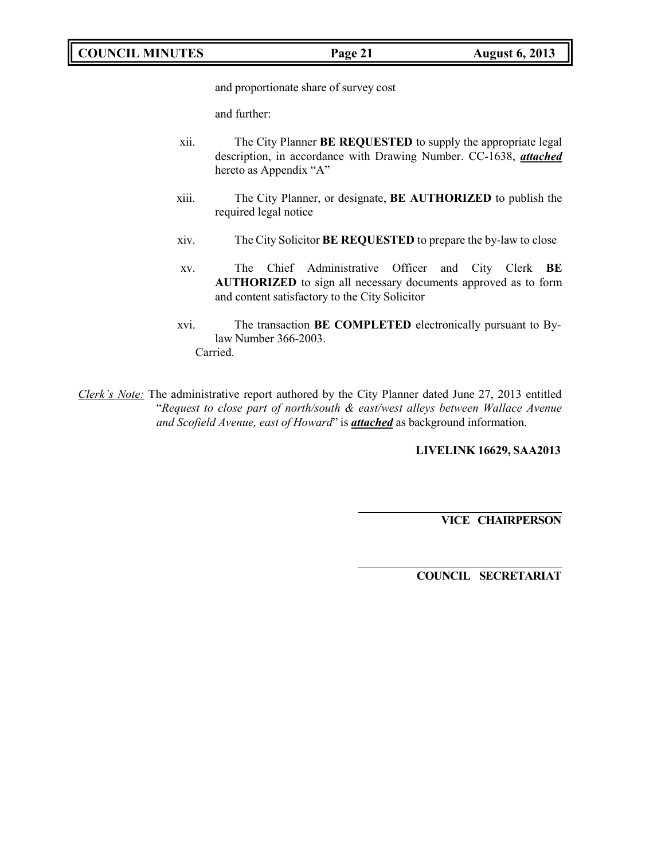**COUNCIL MINUTES Page 21 August 6, 2013**

and proportionate share of survey cost

and further:

- xii. The City Planner **BE REQUESTED** to supply the appropriate legal description, in accordance with Drawing Number. CC-1638, *attached* hereto as Appendix "A"
- xiii. The City Planner, or designate, **BE AUTHORIZED** to publish the required legal notice
- xiv. The City Solicitor **BE REQUESTED** to prepare the by-law to close
- xv. The Chief Administrative Officer and City Clerk **BE AUTHORIZED** to sign all necessary documents approved as to form and content satisfactory to the City Solicitor
- xvi. The transaction **BE COMPLETED** electronically pursuant to Bylaw Number 366-2003. Carried.

*Clerk's Note:* The administrative report authored by the City Planner dated June 27, 2013 entitled "*Request to close part of north/south & east/west alleys between Wallace Avenue and Scofield Avenue, east of Howard*" is *attached* as background information.

**LIVELINK 16629, SAA2013**

**VICE CHAIRPERSON**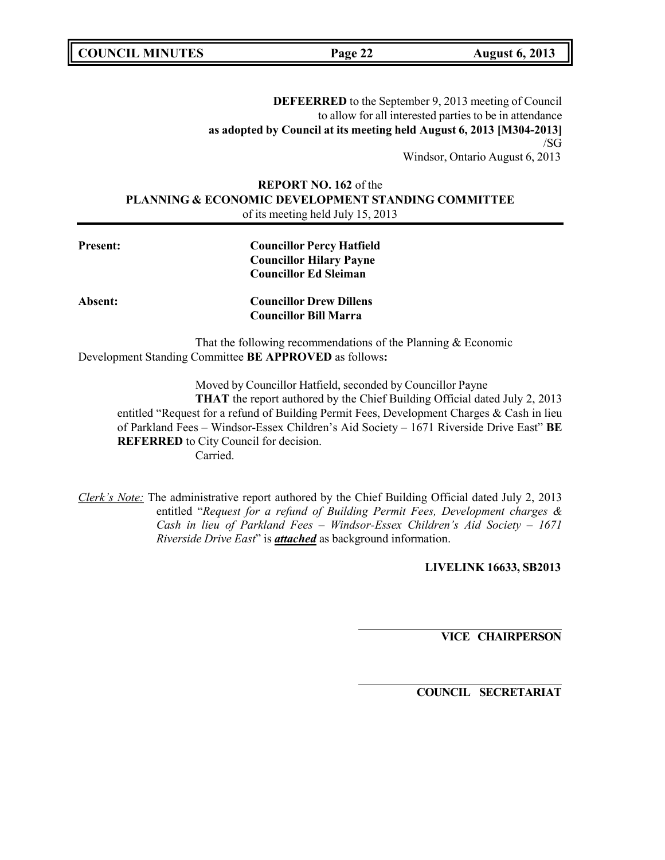**COUNCIL MINUTES Page 22 August 6, 2013**

**DEFEERRED** to the September 9, 2013 meeting of Council to allow for all interested parties to be in attendance **as adopted by Council at its meeting held August 6, 2013 [M304-2013]** /SG

Windsor, Ontario August 6, 2013

## **REPORT NO. 162** of the **PLANNING & ECONOMIC DEVELOPMENT STANDING COMMITTEE** of its meeting held July 15, 2013

| <b>Present:</b> | <b>Councillor Percy Hatfield</b> |  |
|-----------------|----------------------------------|--|
|                 | <b>Councillor Hilary Payne</b>   |  |
|                 | <b>Councillor Ed Sleiman</b>     |  |
| Absent:         | <b>Councillor Drew Dillens</b>   |  |
|                 | <b>Councillor Bill Marra</b>     |  |

That the following recommendations of the Planning & Economic Development Standing Committee **BE APPROVED** as follows**:**

Moved by Councillor Hatfield, seconded by Councillor Payne

**THAT** the report authored by the Chief Building Official dated July 2, 2013 entitled "Request for a refund of Building Permit Fees, Development Charges & Cash in lieu of Parkland Fees – Windsor-Essex Children's Aid Society – 1671 Riverside Drive East" **BE REFERRED** to City Council for decision. Carried.

*Clerk's Note:* The administrative report authored by the Chief Building Official dated July 2, 2013 entitled "*Request for a refund of Building Permit Fees, Development charges & Cash in lieu of Parkland Fees – Windsor-Essex Children's Aid Society – 1671 Riverside Drive East*" is *attached* as background information.

**LIVELINK 16633, SB2013**

**VICE CHAIRPERSON**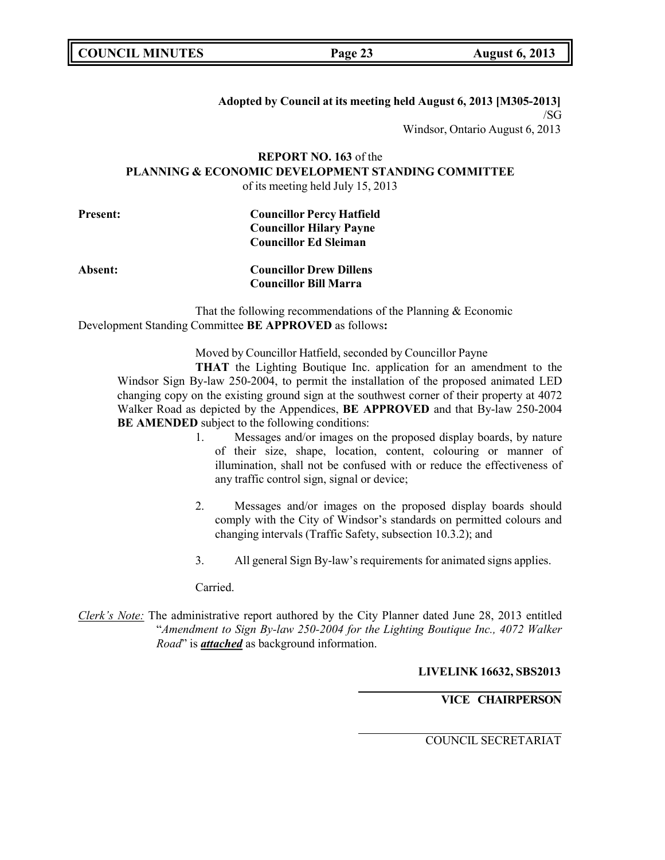### **Adopted by Council at its meeting held August 6, 2013 [M305-2013]** /SG

Windsor, Ontario August 6, 2013

### **REPORT NO. 163** of the **PLANNING & ECONOMIC DEVELOPMENT STANDING COMMITTEE** of its meeting held July 15, 2013

| <b>Present:</b> | <b>Councillor Percy Hatfield</b> |  |
|-----------------|----------------------------------|--|
|                 | <b>Councillor Hilary Payne</b>   |  |
|                 | <b>Councillor Ed Sleiman</b>     |  |
|                 |                                  |  |

## **Absent: Councillor Drew Dillens Councillor Bill Marra**

That the following recommendations of the Planning & Economic Development Standing Committee **BE APPROVED** as follows**:**

Moved by Councillor Hatfield, seconded by Councillor Payne

**THAT** the Lighting Boutique Inc. application for an amendment to the Windsor Sign By-law 250-2004, to permit the installation of the proposed animated LED changing copy on the existing ground sign at the southwest corner of their property at 4072 Walker Road as depicted by the Appendices, **BE APPROVED** and that By-law 250-2004 **BE AMENDED** subject to the following conditions:

- 1. Messages and/or images on the proposed display boards, by nature of their size, shape, location, content, colouring or manner of illumination, shall not be confused with or reduce the effectiveness of any traffic control sign, signal or device;
- 2. Messages and/or images on the proposed display boards should comply with the City of Windsor's standards on permitted colours and changing intervals (Traffic Safety, subsection 10.3.2); and
- 3. All general Sign By-law's requirements for animated signs applies.

Carried.

*Clerk's Note:* The administrative report authored by the City Planner dated June 28, 2013 entitled "*Amendment to Sign By-law 250-2004 for the Lighting Boutique Inc., 4072 Walker Road*" is *attached* as background information.

**LIVELINK 16632, SBS2013**

# **VICE CHAIRPERSON**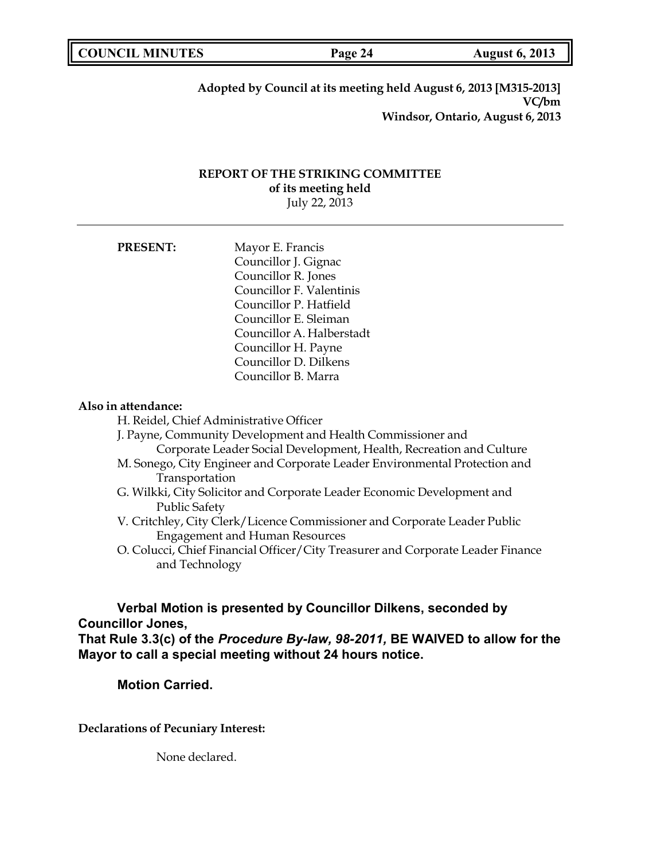**COUNCIL MINUTES Page 24 August 6, 2013**

**Adopted by Council at its meeting held August 6, 2013 [M315-2013] VC/bm Windsor, Ontario, August 6, 2013**

## **REPORT OF THE STRIKING COMMITTEE of its meeting held** July 22, 2013

| <b>PRESENT:</b> | Mayor E. Francis          |
|-----------------|---------------------------|
|                 | Councillor J. Gignac      |
|                 | Councillor R. Jones       |
|                 | Councillor F. Valentinis  |
|                 | Councillor P. Hatfield    |
|                 | Councillor E. Sleiman     |
|                 | Councillor A. Halberstadt |
|                 | Councillor H. Payne       |
|                 | Councillor D. Dilkens     |
|                 | Councillor B. Marra       |

## **Also in attendance:**

H. Reidel, Chief Administrative Officer

J. Payne, Community Development and Health Commissioner and Corporate Leader Social Development, Health, Recreation and Culture

- M. Sonego, City Engineer and Corporate Leader Environmental Protection and Transportation
- G. Wilkki, City Solicitor and Corporate Leader Economic Development and Public Safety
- V. Critchley, City Clerk/Licence Commissioner and Corporate Leader Public Engagement and Human Resources
- O. Colucci, Chief Financial Officer/City Treasurer and Corporate Leader Finance and Technology

# **Verbal Motion is presented by Councillor Dilkens, seconded by Councillor Jones,**

**That Rule 3.3(c) of the** *Procedure By-law, 98-2011,* **BE WAIVED to allow for the Mayor to call a special meeting without 24 hours notice.**

## **Motion Carried.**

**Declarations of Pecuniary Interest:**

None declared.